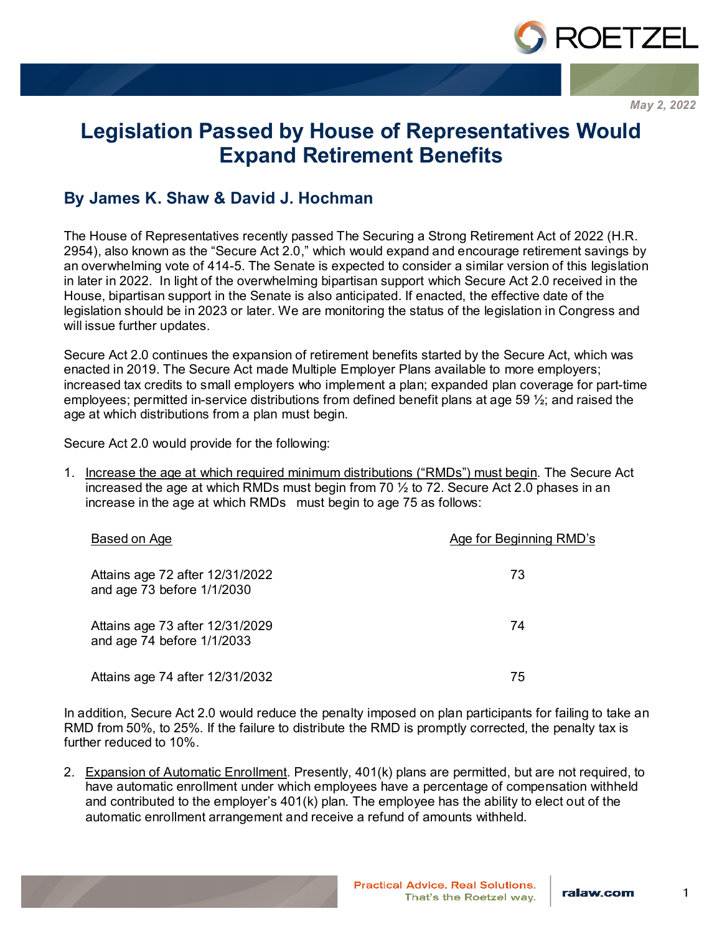

*May 2, 2022*

# **Legislation Passed by House of Representatives Would Expand Retirement Benefits**

## **By James K. Shaw & David J. Hochman**

The House of Representatives recently passed The Securing a Strong Retirement Act of 2022 (H.R. 2954), also known as the "Secure Act 2.0," which would expand and encourage retirement savings by an overwhelming vote of 414-5. The Senate is expected to consider a similar version of this legislation in later in 2022. In light of the overwhelming bipartisan support which Secure Act 2.0 received in the House, bipartisan support in the Senate is also anticipated. If enacted, the effective date of the legislation should be in 2023 or later. We are monitoring the status of the legislation in Congress and will issue further updates.

Secure Act 2.0 continues the expansion of retirement benefits started by the Secure Act, which was enacted in 2019. The Secure Act made Multiple Employer Plans available to more employers; increased tax credits to small employers who implement a plan; expanded plan coverage for part-time employees; permitted in-service distributions from defined benefit plans at age 59  $\frac{1}{2}$ ; and raised the age at which distributions from a plan must begin.

Secure Act 2.0 would provide for the following:

1. Increase the age at which required minimum distributions ("RMDs") must begin. The Secure Act increased the age at which RMDs must begin from 70 ½ to 72. Secure Act 2.0 phases in an increase in the age at which RMDs must begin to age 75 as follows:

| Based on Age                                                  | Age for Beginning RMD's |
|---------------------------------------------------------------|-------------------------|
| Attains age 72 after 12/31/2022<br>and age 73 before 1/1/2030 | 73                      |
| Attains age 73 after 12/31/2029<br>and age 74 before 1/1/2033 | 74                      |
| Attains age 74 after 12/31/2032                               | 75                      |

In addition, Secure Act 2.0 would reduce the penalty imposed on plan participants for failing to take an RMD from 50%, to 25%. If the failure to distribute the RMD is promptly corrected, the penalty tax is further reduced to 10%.

2. Expansion of Automatic Enrollment. Presently, 401(k) plans are permitted, but are not required, to have automatic enrollment under which employees have a percentage of compensation withheld and contributed to the employer's 401(k) plan. The employee has the ability to elect out of the automatic enrollment arrangement and receive a refund of amounts withheld.

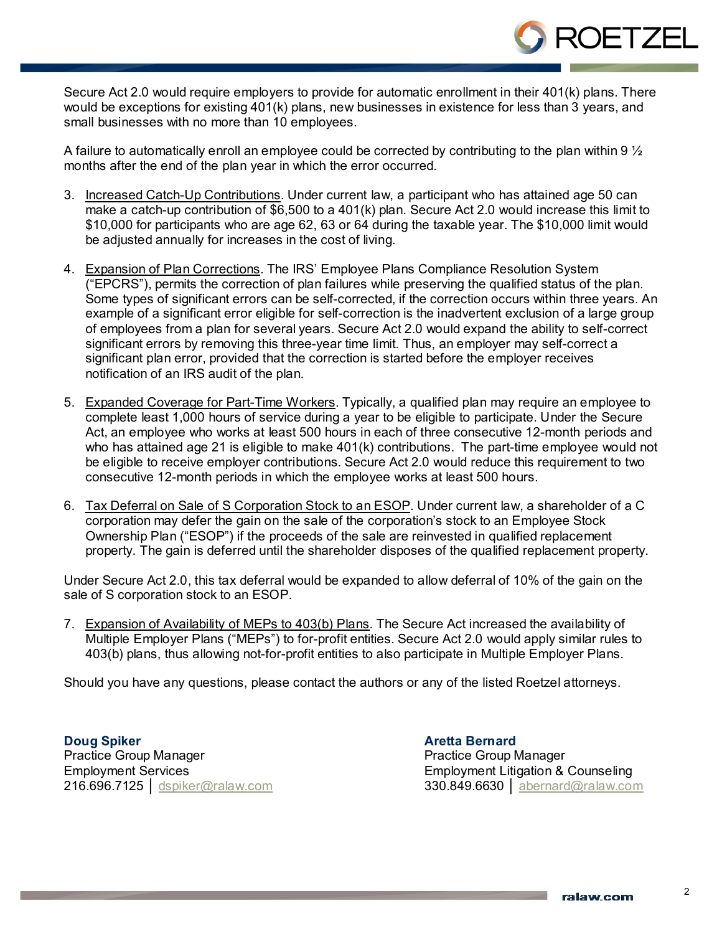Secure Act 2.0 would require employers to provide for automatic enrollment in their 401(k) plans. There would be exceptions for existing 401(k) plans, new businesses in existence for less than 3 years, and small businesses with no more than 10 employees.

A failure to automatically enroll an employee could be corrected by contributing to the plan within 9  $\frac{1}{2}$ months after the end of the plan year in which the error occurred.

- 3. Increased Catch-Up Contributions. Under current law, a participant who has attained age 50 can make a catch-up contribution of \$6,500 to a 401(k) plan. Secure Act 2.0 would increase this limit to \$10,000 for participants who are age 62, 63 or 64 during the taxable year. The \$10,000 limit would be adjusted annually for increases in the cost of living.
- 4. Expansion of Plan Corrections. The IRS' Employee Plans Compliance Resolution System ("EPCRS"), permits the correction of plan failures while preserving the qualified status of the plan. Some types of significant errors can be self-corrected, if the correction occurs within three years. An example of a significant error eligible for self-correction is the inadvertent exclusion of a large group of employees from a plan for several years. Secure Act 2.0 would expand the ability to self-correct significant errors by removing this three-year time limit. Thus, an employer may self-correct a significant plan error, provided that the correction is started before the employer receives notification of an IRS audit of the plan.
- 5. Expanded Coverage for Part-Time Workers. Typically, a qualified plan may require an employee to complete least 1,000 hours of service during a year to be eligible to participate. Under the Secure Act, an employee who works at least 500 hours in each of three consecutive 12-month periods and who has attained age 21 is eligible to make 401(k) contributions. The part-time employee would not be eligible to receive employer contributions. Secure Act 2.0 would reduce this requirement to two consecutive 12-month periods in which the employee works at least 500 hours.
- 6. Tax Deferral on Sale of S Corporation Stock to an ESOP. Under current law, a shareholder of a C corporation may defer the gain on the sale of the corporation's stock to an Employee Stock Ownership Plan ("ESOP") if the proceeds of the sale are reinvested in qualified replacement property. The gain is deferred until the shareholder disposes of the qualified replacement property.

Under Secure Act 2.0, this tax deferral would be expanded to allow deferral of 10% of the gain on the sale of S corporation stock to an ESOP.

7. Expansion of Availability of MEPs to 403(b) Plans. The Secure Act increased the availability of Multiple Employer Plans ("MEPs") to for-profit entities. Secure Act 2.0 would apply similar rules to 403(b) plans, thus allowing not-for-profit entities to also participate in Multiple Employer Plans.

Should you have any questions, please contact the authors or any of the listed Roetzel attorneys.

**Doug Spiker** Practice Group Manager Employment Services 216.696.7125 │ [dspiker@ralaw.com](mailto:dspiker@ralaw.com) **Aretta Bernard** Practice Group Manager Employment Litigation & Counseling 330.849.6630 │ [abernard@ralaw.com](mailto:abernard@ralaw.com)

**ROETZE**